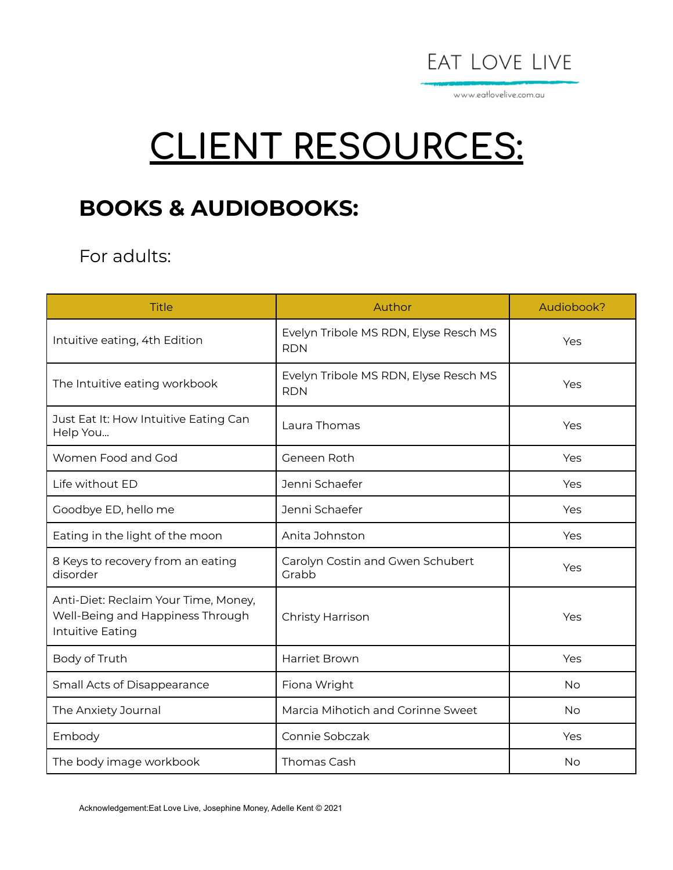

www.eatlovelive.com.au

# **CLIENT RESOURCES:**

# **BOOKS & AUDIOBOOKS:**

#### For adults:

| <b>Title</b>                                                                                 | Author                                              | Audiobook? |
|----------------------------------------------------------------------------------------------|-----------------------------------------------------|------------|
| Intuitive eating, 4th Edition                                                                | Evelyn Tribole MS RDN, Elyse Resch MS<br><b>RDN</b> | Yes        |
| The Intuitive eating workbook                                                                | Evelyn Tribole MS RDN, Elyse Resch MS<br><b>RDN</b> | Yes        |
| Just Eat It: How Intuitive Eating Can<br>Help You                                            | Laura Thomas                                        | Yes        |
| Women Food and God                                                                           | Geneen Roth                                         | Yes        |
| Life without ED                                                                              | Jenni Schaefer                                      | Yes        |
| Goodbye ED, hello me                                                                         | Jenni Schaefer                                      | Yes        |
| Eating in the light of the moon                                                              | Anita Johnston                                      | Yes        |
| 8 Keys to recovery from an eating<br>disorder                                                | Carolyn Costin and Gwen Schubert<br>Grabb           | Yes        |
| Anti-Diet: Reclaim Your Time, Money,<br>Well-Being and Happiness Through<br>Intuitive Eating | Christy Harrison                                    | Yes        |
| Body of Truth                                                                                | Harriet Brown                                       | Yes        |
| Small Acts of Disappearance                                                                  | Fiona Wright                                        | <b>No</b>  |
| The Anxiety Journal                                                                          | Marcia Mihotich and Corinne Sweet                   | <b>No</b>  |
| Embody                                                                                       | Connie Sobczak                                      | Yes        |
| The body image workbook                                                                      | Thomas Cash                                         | No         |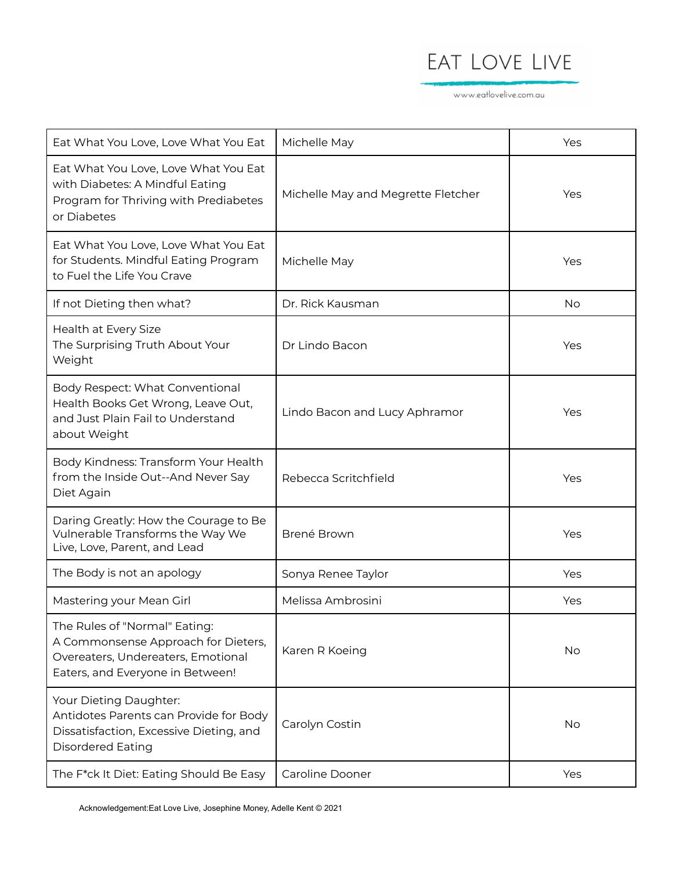www.eatlovelive.com.au

| Eat What You Love, Love What You Eat                                                                                                           | Michelle May                       | Yes |
|------------------------------------------------------------------------------------------------------------------------------------------------|------------------------------------|-----|
| Eat What You Love, Love What You Eat<br>with Diabetes: A Mindful Eating<br>Program for Thriving with Prediabetes<br>or Diabetes                | Michelle May and Megrette Fletcher | Yes |
| Eat What You Love, Love What You Eat<br>for Students. Mindful Eating Program<br>to Fuel the Life You Crave                                     | Michelle May                       | Yes |
| If not Dieting then what?                                                                                                                      | Dr. Rick Kausman                   | No  |
| Health at Every Size<br>The Surprising Truth About Your<br>Weight                                                                              | Dr Lindo Bacon                     | Yes |
| Body Respect: What Conventional<br>Health Books Get Wrong, Leave Out,<br>and Just Plain Fail to Understand<br>about Weight                     | Lindo Bacon and Lucy Aphramor      | Yes |
| Body Kindness: Transform Your Health<br>from the Inside Out--And Never Say<br>Diet Again                                                       | Rebecca Scritchfield               | Yes |
| Daring Greatly: How the Courage to Be<br>Vulnerable Transforms the Way We<br>Live, Love, Parent, and Lead                                      | Brené Brown                        | Yes |
| The Body is not an apology                                                                                                                     | Sonya Renee Taylor                 | Yes |
| Mastering your Mean Girl                                                                                                                       | Melissa Ambrosini                  | Yes |
| The Rules of "Normal" Eating:<br>A Commonsense Approach for Dieters,<br>Overeaters, Undereaters, Emotional<br>Eaters, and Everyone in Between! | Karen R Koeing                     | No  |
| Your Dieting Daughter:<br>Antidotes Parents can Provide for Body<br>Dissatisfaction, Excessive Dieting, and<br><b>Disordered Eating</b>        | Carolyn Costin                     | No  |
| The F*ck It Diet: Eating Should Be Easy                                                                                                        | Caroline Dooner                    | Yes |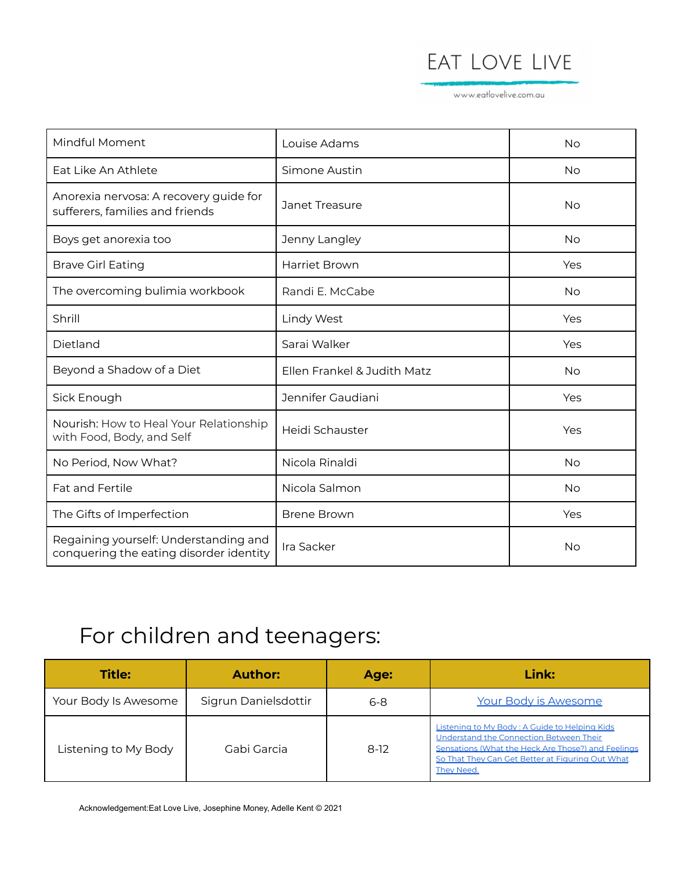www.eatlovelive.com.au

| Mindful Moment                                                                   | Louise Adams                | <b>No</b> |
|----------------------------------------------------------------------------------|-----------------------------|-----------|
| Eat Like An Athlete                                                              | Simone Austin               | No        |
| Anorexia nervosa: A recovery guide for<br>sufferers, families and friends        | Janet Treasure              | <b>No</b> |
| Boys get anorexia too                                                            | Jenny Langley               | <b>No</b> |
| <b>Brave Girl Eating</b>                                                         | Harriet Brown               | Yes       |
| The overcoming bulimia workbook                                                  | Randi E. McCabe             | No        |
| Shrill                                                                           | <b>Lindy West</b>           | Yes       |
| Dietland                                                                         | Sarai Walker                | Yes       |
| Beyond a Shadow of a Diet                                                        | Ellen Frankel & Judith Matz | <b>No</b> |
| Sick Enough                                                                      | Jennifer Gaudiani           | Yes       |
| Nourish: How to Heal Your Relationship<br>with Food, Body, and Self              | Heidi Schauster             | Yes       |
| No Period, Now What?                                                             | Nicola Rinaldi              | <b>No</b> |
| <b>Fat and Fertile</b>                                                           | Nicola Salmon               | No        |
| The Gifts of Imperfection                                                        | <b>Brene Brown</b>          | Yes       |
| Regaining yourself: Understanding and<br>conquering the eating disorder identity | Ira Sacker                  | No        |

# For children and teenagers:

| <b>Title:</b>        | <b>Author:</b>       | Age:    | Link:                                                                                                                                                                                                            |
|----------------------|----------------------|---------|------------------------------------------------------------------------------------------------------------------------------------------------------------------------------------------------------------------|
| Your Body Is Awesome | Sigrun Danielsdottir | $6 - 8$ | Your Body is Awesome                                                                                                                                                                                             |
| Listening to My Body | Gabi Garcia          | $8-12$  | Listening to My Body: A Guide to Helping Kids<br>Understand the Connection Between Their<br>Sensations (What the Heck Are Those?) and Feelings<br>So That They Can Get Better at Figuring Out What<br>They Need. |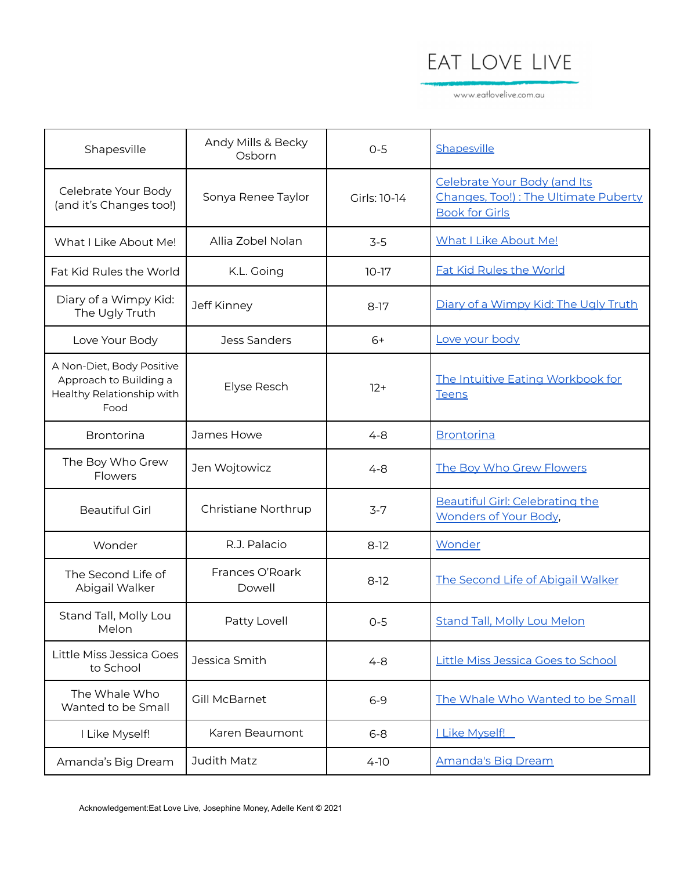www.eatlovelive.com.au

| Shapesville                                                                              | Andy Mills & Becky<br>Osborn | $O-5$        | Shapesville                                                                                   |
|------------------------------------------------------------------------------------------|------------------------------|--------------|-----------------------------------------------------------------------------------------------|
| Celebrate Your Body<br>(and it's Changes too!)                                           | Sonya Renee Taylor           | Girls: 10-14 | Celebrate Your Body (and Its<br>Changes, Too!): The Ultimate Puberty<br><b>Book for Girls</b> |
| What I Like About Me!                                                                    | Allia Zobel Nolan            | $3-5$        | <b>What I Like About Me!</b>                                                                  |
| Fat Kid Rules the World                                                                  | K.L. Going                   | $10-17$      | <b>Fat Kid Rules the World</b>                                                                |
| Diary of a Wimpy Kid:<br>The Ugly Truth                                                  | Jeff Kinney                  | $8-17$       | Diary of a Wimpy Kid: The Ugly Truth                                                          |
| Love Your Body                                                                           | Jess Sanders                 | $6+$         | Love your body                                                                                |
| A Non-Diet, Body Positive<br>Approach to Building a<br>Healthy Relationship with<br>Food | Elyse Resch                  | $12+$        | The Intuitive Eating Workbook for<br><b>Teens</b>                                             |
| <b>Brontorina</b>                                                                        | James Howe                   | $4 - 8$      | <b>Brontorina</b>                                                                             |
| The Boy Who Grew<br>Flowers                                                              | Jen Wojtowicz                | $4 - 8$      | The Boy Who Grew Flowers                                                                      |
| <b>Beautiful Girl</b>                                                                    | Christiane Northrup          | $3 - 7$      | Beautiful Girl: Celebrating the<br><b>Wonders of Your Body,</b>                               |
| Wonder                                                                                   | R.J. Palacio                 | $8-12$       | Wonder                                                                                        |
| The Second Life of<br>Abigail Walker                                                     | Frances O'Roark<br>Dowell    | $8-12$       | The Second Life of Abigail Walker                                                             |
| Stand Tall, Molly Lou<br>Melon                                                           | Patty Lovell                 | $O-5$        | <b>Stand Tall, Molly Lou Melon</b>                                                            |
| Little Miss Jessica Goes<br>to School                                                    | Jessica Smith                | $4 - 8$      | <b>Little Miss Jessica Goes to School</b>                                                     |
| The Whale Who<br>Wanted to be Small                                                      | Gill McBarnet                | $6 - 9$      | The Whale Who Wanted to be Small                                                              |
| I Like Myself!                                                                           | Karen Beaumont               | $6 - 8$      | <b>LLike Myself!</b>                                                                          |
| Amanda's Big Dream                                                                       | Judith Matz                  | $4-10$       | <b>Amanda's Big Dream</b>                                                                     |